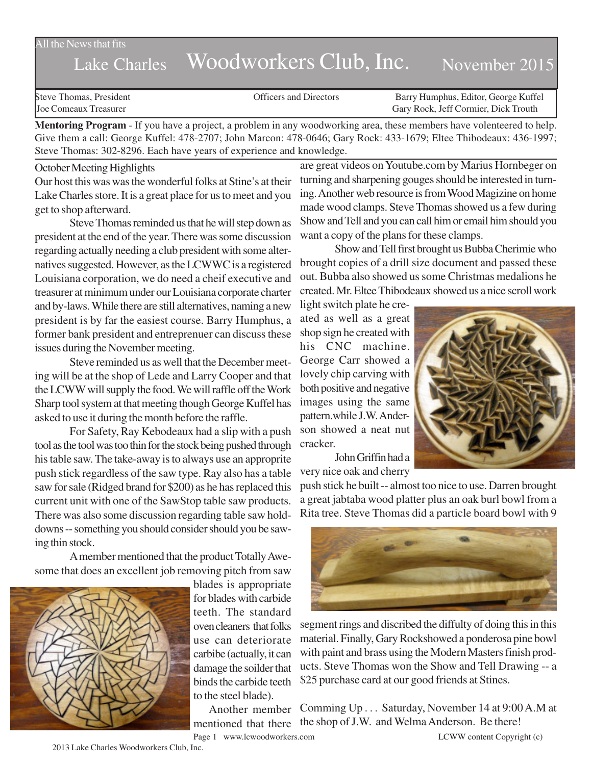All the News that fits

# Lake Charles Woodworkers Club, Inc. November 2015

Steve Thomas, President Officers and Directors Barry Humphus, Editor, George Kuffel Joe Comeaux Treasurer Gary Rock, Jeff Cormier, Dick Trouth

**Mentoring Program** - If you have a project, a problem in any woodworking area, these members have volenteered to help. Give them a call: George Kuffel: 478-2707; John Marcon: 478-0646; Gary Rock: 433-1679; Eltee Thibodeaux: 436-1997; Steve Thomas: 302-8296. Each have years of experience and knowledge.

#### October Meeting Highlights

Our host this was was the wonderful folks at Stine's at their Lake Charles store. It is a great place for us to meet and you get to shop afterward.

Steve Thomas reminded us that he will step down as president at the end of the year. There was some discussion regarding actually needing a club president with some alternatives suggested. However, as the LCWWC is a registered Louisiana corporation, we do need a cheif executive and treasurer at minimum under our Louisiana corporate charter and by-laws. While there are still alternatives, naming a new president is by far the easiest course. Barry Humphus, a former bank president and entreprenuer can discuss these issues during the November meeting.

Steve reminded us as well that the December meeting will be at the shop of Lede and Larry Cooper and that the LCWW will supply the food. We will raffle off the Work Sharp tool system at that meeting though George Kuffel has asked to use it during the month before the raffle.

For Safety, Ray Kebodeaux had a slip with a push tool as the tool was too thin for the stock being pushed through his table saw. The take-away is to always use an approprite push stick regardless of the saw type. Ray also has a table saw for sale (Ridged brand for \$200) as he has replaced this current unit with one of the SawStop table saw products. There was also some discussion regarding table saw holddowns -- something you should consider should you be sawing thin stock.

A member mentioned that the product Totally Awesome that does an excellent job removing pitch from saw



blades is appropriate for blades with carbide teeth. The standard oven cleaners that folks use can deteriorate carbibe (actually, it can damage the soilder that binds the carbide teeth to the steel blade).

Another member

are great videos on Youtube.com by Marius Hornbeger on turning and sharpening gouges should be interested in turning. Another web resource is from Wood Magizine on home made wood clamps. Steve Thomas showed us a few during Show and Tell and you can call him or email him should you want a copy of the plans for these clamps.

Show and Tell first brought us Bubba Cherimie who brought copies of a drill size document and passed these out. Bubba also showed us some Christmas medalions he created. Mr. Eltee Thibodeaux showed us a nice scroll work

light switch plate he created as well as a great shop sign he created with his CNC machine. George Carr showed a lovely chip carving with both positive and negative images using the same pattern.while J.W. Anderson showed a neat nut cracker.



John Griffin had a very nice oak and cherry

push stick he built -- almost too nice to use. Darren brought a great jabtaba wood platter plus an oak burl bowl from a Rita tree. Steve Thomas did a particle board bowl with 9



segment rings and discribed the diffulty of doing this in this material. Finally, Gary Rockshowed a ponderosa pine bowl with paint and brass using the Modern Masters finish products. Steve Thomas won the Show and Tell Drawing -- a \$25 purchase card at our good friends at Stines.

mentioned that there the shop of J.W. and Welma Anderson. Be there! Comming Up . . . Saturday, November 14 at 9:00 A.M at

2013 Lake Charles Woodworkers Club, Inc.

Page 1 www.lcwoodworkers.com LCWW content Copyright (c)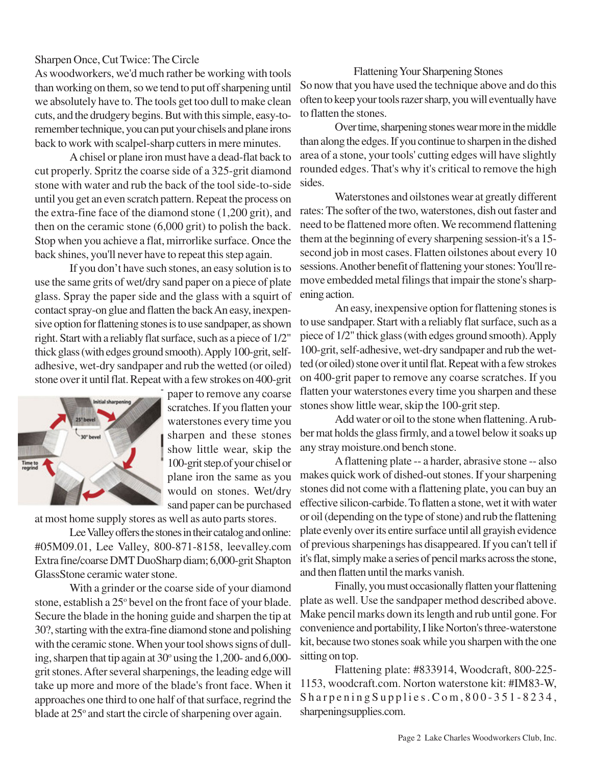## Sharpen Once, Cut Twice: The Circle

As woodworkers, we'd much rather be working with tools than working on them, so we tend to put off sharpening until we absolutely have to. The tools get too dull to make clean cuts, and the drudgery begins. But with this simple, easy-toremember technique, you can put your chisels and plane irons back to work with scalpel-sharp cutters in mere minutes.

A chisel or plane iron must have a dead-flat back to cut properly. Spritz the coarse side of a 325-grit diamond stone with water and rub the back of the tool side-to-side until you get an even scratch pattern. Repeat the process on the extra-fine face of the diamond stone (1,200 grit), and then on the ceramic stone (6,000 grit) to polish the back. Stop when you achieve a flat, mirrorlike surface. Once the back shines, you'll never have to repeat this step again.

If you don't have such stones, an easy solution is to use the same grits of wet/dry sand paper on a piece of plate glass. Spray the paper side and the glass with a squirt of contact spray-on glue and flatten the back An easy, inexpensive option for flattening stones is to use sandpaper, as shown right. Start with a reliably flat surface, such as a piece of 1/2" thick glass (with edges ground smooth). Apply 100-grit, selfadhesive, wet-dry sandpaper and rub the wetted (or oiled) stone over it until flat. Repeat with a few strokes on 400-grit



paper to remove any coarse scratches. If you flatten your waterstones every time you sharpen and these stones show little wear, skip the 100-grit step.of your chisel or plane iron the same as you would on stones. Wet/dry sand paper can be purchased

at most home supply stores as well as auto parts stores.

Lee Valley offers the stones in their catalog and online: #05M09.01, Lee Valley, 800-871-8158, leevalley.com Extra fine/coarse DMT DuoSharp diam; 6,000-grit Shapton GlassStone ceramic water stone.

With a grinder or the coarse side of your diamond stone, establish a 25° bevel on the front face of your blade. Secure the blade in the honing guide and sharpen the tip at 30?, starting with the extra-fine diamond stone and polishing with the ceramic stone. When your tool shows signs of dulling, sharpen that tip again at 30° using the 1,200- and 6,000grit stones. After several sharpenings, the leading edge will take up more and more of the blade's front face. When it approaches one third to one half of that surface, regrind the blade at 25° and start the circle of sharpening over again.

### Flattening Your Sharpening Stones

So now that you have used the technique above and do this often to keep your tools razer sharp, you will eventually have to flatten the stones.

Over time, sharpening stones wear more in the middle than along the edges. If you continue to sharpen in the dished area of a stone, your tools' cutting edges will have slightly rounded edges. That's why it's critical to remove the high sides.

Waterstones and oilstones wear at greatly different rates: The softer of the two, waterstones, dish out faster and need to be flattened more often. We recommend flattening them at the beginning of every sharpening session-it's a 15 second job in most cases. Flatten oilstones about every 10 sessions. Another benefit of flattening your stones: You'll remove embedded metal filings that impair the stone's sharpening action.

An easy, inexpensive option for flattening stones is to use sandpaper. Start with a reliably flat surface, such as a piece of 1/2" thick glass (with edges ground smooth). Apply 100-grit, self-adhesive, wet-dry sandpaper and rub the wetted (or oiled) stone over it until flat. Repeat with a few strokes on 400-grit paper to remove any coarse scratches. If you flatten your waterstones every time you sharpen and these stones show little wear, skip the 100-grit step.

Add water or oil to the stone when flattening. A rubber mat holds the glass firmly, and a towel below it soaks up any stray moisture.ond bench stone.

A flattening plate -- a harder, abrasive stone -- also makes quick work of dished-out stones. If your sharpening stones did not come with a flattening plate, you can buy an effective silicon-carbide. To flatten a stone, wet it with water or oil (depending on the type of stone) and rub the flattening plate evenly over its entire surface until all grayish evidence of previous sharpenings has disappeared. If you can't tell if it's flat, simply make a series of pencil marks across the stone, and then flatten until the marks vanish.

Finally, you must occasionally flatten your flattening plate as well. Use the sandpaper method described above. Make pencil marks down its length and rub until gone. For convenience and portability, I like Norton's three-waterstone kit, because two stones soak while you sharpen with the one sitting on top.

Flattening plate: #833914, Woodcraft, 800-225- 1153, woodcraft.com. Norton waterstone kit: #IM83-W, SharpeningSupplies.Com,800-351-8234, sharpeningsupplies.com.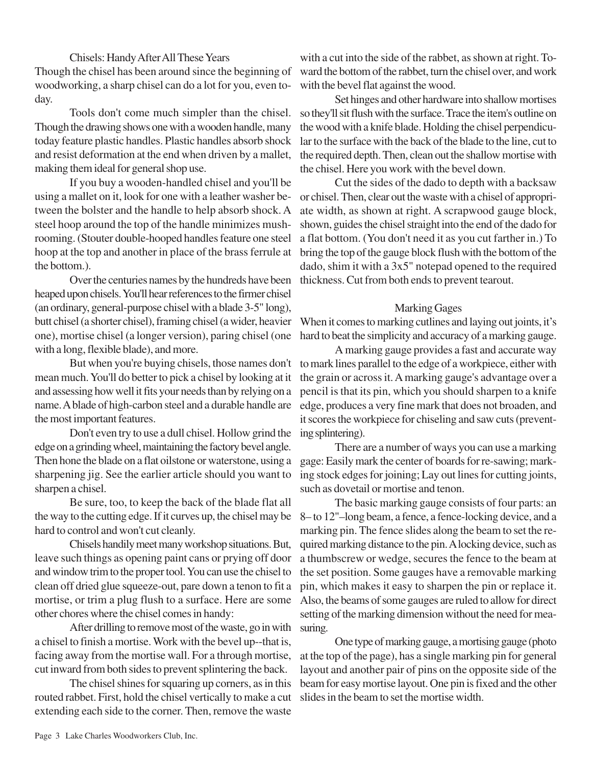## Chisels: Handy After All These Years

Though the chisel has been around since the beginning of woodworking, a sharp chisel can do a lot for you, even today.

Tools don't come much simpler than the chisel. Though the drawing shows one with a wooden handle, many today feature plastic handles. Plastic handles absorb shock and resist deformation at the end when driven by a mallet, making them ideal for general shop use.

If you buy a wooden-handled chisel and you'll be using a mallet on it, look for one with a leather washer between the bolster and the handle to help absorb shock. A steel hoop around the top of the handle minimizes mushrooming. (Stouter double-hooped handles feature one steel hoop at the top and another in place of the brass ferrule at the bottom.).

Over the centuries names by the hundreds have been heaped upon chisels. You'll hear references to the firmer chisel (an ordinary, general-purpose chisel with a blade 3-5" long), butt chisel (a shorter chisel), framing chisel (a wider, heavier one), mortise chisel (a longer version), paring chisel (one with a long, flexible blade), and more.

But when you're buying chisels, those names don't mean much. You'll do better to pick a chisel by looking at it and assessing how well it fits your needs than by relying on a name. A blade of high-carbon steel and a durable handle are the most important features.

Don't even try to use a dull chisel. Hollow grind the edge on a grinding wheel, maintaining the factory bevel angle. Then hone the blade on a flat oilstone or waterstone, using a sharpening jig. See the earlier article should you want to sharpen a chisel.

Be sure, too, to keep the back of the blade flat all the way to the cutting edge. If it curves up, the chisel may be hard to control and won't cut cleanly.

Chisels handily meet many workshop situations. But, leave such things as opening paint cans or prying off door and window trim to the proper tool. You can use the chisel to clean off dried glue squeeze-out, pare down a tenon to fit a mortise, or trim a plug flush to a surface. Here are some other chores where the chisel comes in handy:

After drilling to remove most of the waste, go in with a chisel to finish a mortise. Work with the bevel up--that is, facing away from the mortise wall. For a through mortise, cut inward from both sides to prevent splintering the back.

The chisel shines for squaring up corners, as in this routed rabbet. First, hold the chisel vertically to make a cut extending each side to the corner. Then, remove the waste

with a cut into the side of the rabbet, as shown at right. Toward the bottom of the rabbet, turn the chisel over, and work with the bevel flat against the wood.

Set hinges and other hardware into shallow mortises so they'll sit flush with the surface. Trace the item's outline on the wood with a knife blade. Holding the chisel perpendicular to the surface with the back of the blade to the line, cut to the required depth. Then, clean out the shallow mortise with the chisel. Here you work with the bevel down.

Cut the sides of the dado to depth with a backsaw or chisel. Then, clear out the waste with a chisel of appropriate width, as shown at right. A scrapwood gauge block, shown, guides the chisel straight into the end of the dado for a flat bottom. (You don't need it as you cut farther in.) To bring the top of the gauge block flush with the bottom of the dado, shim it with a 3x5" notepad opened to the required thickness. Cut from both ends to prevent tearout.

### Marking Gages

When it comes to marking cutlines and laying out joints, it's hard to beat the simplicity and accuracy of a marking gauge.

A marking gauge provides a fast and accurate way to mark lines parallel to the edge of a workpiece, either with the grain or across it. A marking gauge's advantage over a pencil is that its pin, which you should sharpen to a knife edge, produces a very fine mark that does not broaden, and it scores the workpiece for chiseling and saw cuts (preventing splintering).

There are a number of ways you can use a marking gage: Easily mark the center of boards for re-sawing; marking stock edges for joining; Lay out lines for cutting joints, such as dovetail or mortise and tenon.

The basic marking gauge consists of four parts: an 8– to 12"–long beam, a fence, a fence-locking device, and a marking pin. The fence slides along the beam to set the required marking distance to the pin. A locking device, such as a thumbscrew or wedge, secures the fence to the beam at the set position. Some gauges have a removable marking pin, which makes it easy to sharpen the pin or replace it. Also, the beams of some gauges are ruled to allow for direct setting of the marking dimension without the need for measuring.

One type of marking gauge, a mortising gauge (photo at the top of the page), has a single marking pin for general layout and another pair of pins on the opposite side of the beam for easy mortise layout. One pin is fixed and the other slides in the beam to set the mortise width.